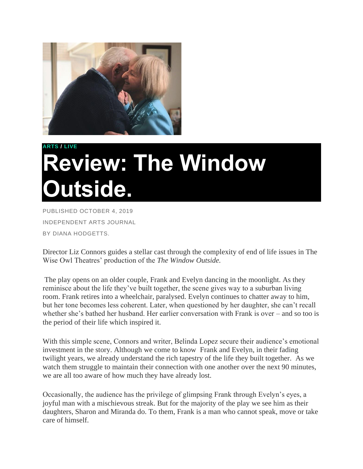

## **[ARTS](http://popculture-y.com/category/arts/) / [LIVE](http://popculture-y.com/category/live/) Review: The Window Outside.**

PUBLISHED OCTOBER 4, 2019 INDEPENDENT ARTS JOURNAL BY DIANA HODGETTS.

Director Liz Connors guides a stellar cast through the complexity of end of life issues in The Wise Owl Theatres' production of the *The Window Outside.*

The play opens on an older couple, Frank and Evelyn dancing in the moonlight. As they reminisce about the life they've built together, the scene gives way to a suburban living room. Frank retires into a wheelchair, paralysed. Evelyn continues to chatter away to him, but her tone becomes less coherent. Later, when questioned by her daughter, she can't recall whether she's bathed her husband. Her earlier conversation with Frank is over – and so too is the period of their life which inspired it.

With this simple scene, Connors and writer, Belinda Lopez secure their audience's emotional investment in the story. Although we come to know Frank and Evelyn, in their fading twilight years, we already understand the rich tapestry of the life they built together. As we watch them struggle to maintain their connection with one another over the next 90 minutes, we are all too aware of how much they have already lost.

Occasionally, the audience has the privilege of glimpsing Frank through Evelyn's eyes, a joyful man with a mischievous streak. But for the majority of the play we see him as their daughters, Sharon and Miranda do. To them, Frank is a man who cannot speak, move or take care of himself.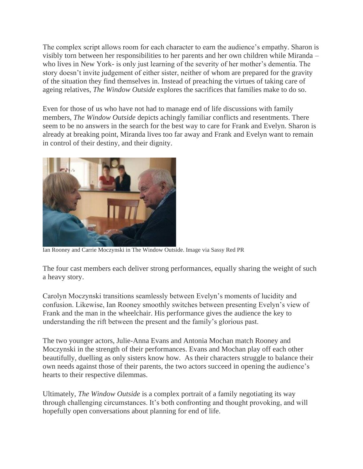The complex script allows room for each character to earn the audience's empathy. Sharon is visibly torn between her responsibilities to her parents and her own children while Miranda – who lives in New York- is only just learning of the severity of her mother's dementia. The story doesn't invite judgement of either sister, neither of whom are prepared for the gravity of the situation they find themselves in. Instead of preaching the virtues of taking care of ageing relatives, *The Window Outside* explores the sacrifices that families make to do so.

Even for those of us who have not had to manage end of life discussions with family members, *The Window Outside* depicts achingly familiar conflicts and resentments. There seem to be no answers in the search for the best way to care for Frank and Evelyn. Sharon is already at breaking point, Miranda lives too far away and Frank and Evelyn want to remain in control of their destiny, and their dignity.



Ian Rooney and Carrie Moczynski in The Window Outside. Image via Sassy Red PR

The four cast members each deliver strong performances, equally sharing the weight of such a heavy story.

Carolyn Moczynski transitions seamlessly between Evelyn's moments of lucidity and confusion. Likewise, Ian Rooney smoothly switches between presenting Evelyn's view of Frank and the man in the wheelchair. His performance gives the audience the key to understanding the rift between the present and the family's glorious past.

The two younger actors, Julie-Anna Evans and Antonia Mochan match Rooney and Moczynski in the strength of their performances. Evans and Mochan play off each other beautifully, duelling as only sisters know how. As their characters struggle to balance their own needs against those of their parents, the two actors succeed in opening the audience's hearts to their respective dilemmas.

Ultimately, *The Window Outside* is a complex portrait of a family negotiating its way through challenging circumstances. It's both confronting and thought provoking, and will hopefully open conversations about planning for end of life.